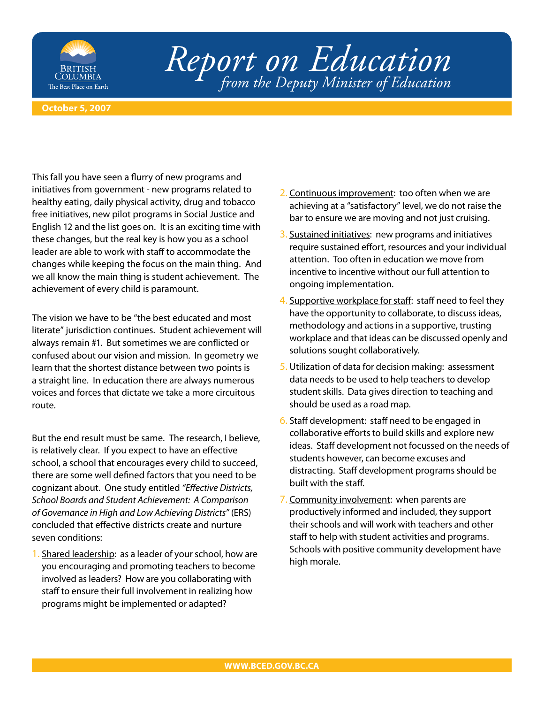

## *Report on Education from the Deputy Minister of Education*

## **October 5, 2007**

This fall you have seen a flurry of new programs and initiatives from government - new programs related to healthy eating, daily physical activity, drug and tobacco free initiatives, new pilot programs in Social Justice and English 12 and the list goes on. It is an exciting time with these changes, but the real key is how you as a school leader are able to work with staff to accommodate the changes while keeping the focus on the main thing. And we all know the main thing is student achievement. The achievement of every child is paramount.

The vision we have to be "the best educated and most literate" jurisdiction continues. Student achievement will always remain #1. But sometimes we are conflicted or confused about our vision and mission. In geometry we learn that the shortest distance between two points is a straight line. In education there are always numerous voices and forces that dictate we take a more circuitous route.

But the end result must be same. The research, I believe, is relatively clear. If you expect to have an effective school, a school that encourages every child to succeed, there are some well defined factors that you need to be cognizant about. One study entitled "Effective Districts, School Boards and Student Achievement: A Comparison of Governance in High and Low Achieving Districts" (ERS) concluded that effective districts create and nurture seven conditions:

1. Shared leadership: as a leader of your school, how are you encouraging and promoting teachers to become involved as leaders? How are you collaborating with staff to ensure their full involvement in realizing how programs might be implemented or adapted?

- 2. Continuous improvement: too often when we are achieving at a "satisfactory" level, we do not raise the bar to ensure we are moving and not just cruising.
- 3. Sustained initiatives: new programs and initiatives require sustained effort, resources and your individual attention. Too often in education we move from incentive to incentive without our full attention to ongoing implementation.
- 4. Supportive workplace for staff: staff need to feel they have the opportunity to collaborate, to discuss ideas, methodology and actions in a supportive, trusting workplace and that ideas can be discussed openly and solutions sought collaboratively.
- 5. Utilization of data for decision making: assessment data needs to be used to help teachers to develop student skills. Data gives direction to teaching and should be used as a road map.
- 6. Staff development: staff need to be engaged in collaborative efforts to build skills and explore new ideas. Staff development not focussed on the needs of students however, can become excuses and distracting. Staff development programs should be built with the staff.
- 7. Community involvement: when parents are productively informed and included, they support their schools and will work with teachers and other staff to help with student activities and programs. Schools with positive community development have high morale.